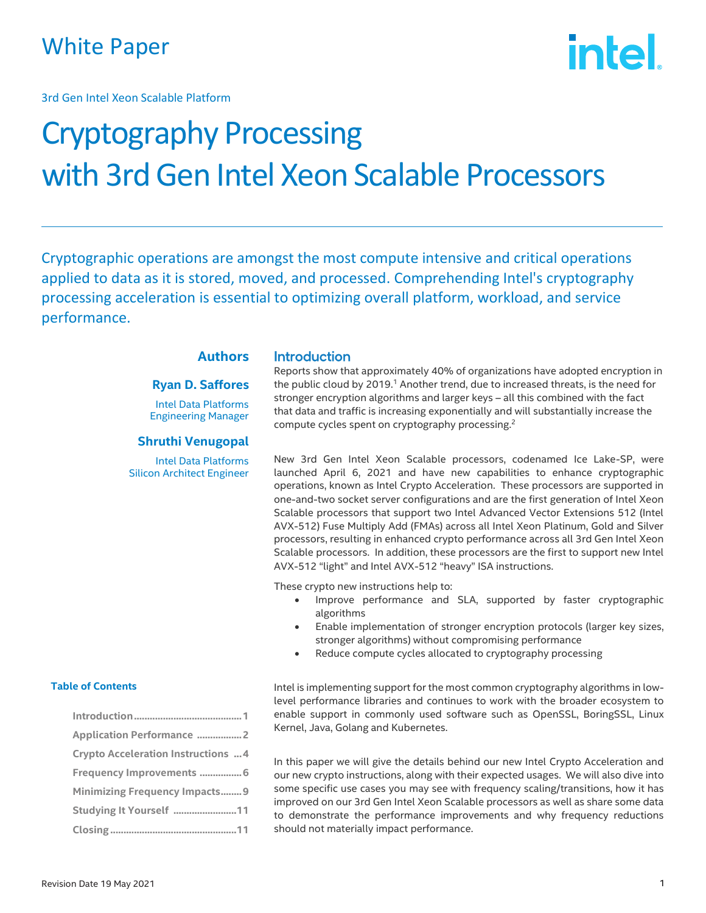## White Paper

3rd Gen Intel Xeon Scalable Platform

# **intel**

## Cryptography Processing with 3rd Gen Intel Xeon Scalable Processors

Cryptographic operations are amongst the most compute intensive and critical operations applied to data as it is stored, moved, and processed. Comprehending Intel's cryptography processing acceleration is essential to optimizing overall platform, workload, and service performance.

#### **Authors**

#### **Ryan D. Saffores**

Intel Data Platforms Engineering Manager

#### **Shruthi Venugopal**

Intel Data Platforms Silicon Architect Engineer

#### **Introduction**

Reports show that approximately 40% of organizations have adopted encryption in the public cloud by 2019.<sup>1</sup> Another trend, due to increased threats, is the need for stronger encryption algorithms and larger keys – all this combined with the fact that data and traffic is increasing exponentially and will substantially increase the compute cycles spent on cryptography processing.<sup>2</sup>

New 3rd Gen Intel Xeon Scalable processors, codenamed Ice Lake-SP, were launched April 6, 2021 and have new capabilities to enhance cryptographic operations, known as Intel Crypto Acceleration. These processors are supported in one-and-two socket server configurations and are the first generation of Intel Xeon Scalable processors that support two Intel Advanced Vector Extensions 512 (Intel AVX-512) Fuse Multiply Add (FMAs) across all Intel Xeon Platinum, Gold and Silver processors, resulting in enhanced crypto performance across all 3rd Gen Intel Xeon Scalable processors. In addition, these processors are the first to support new Intel AVX-512 "light" and Intel AVX-512 "heavy" ISA instructions.

These crypto new instructions help to:

- Improve performance and SLA, supported by faster cryptographic algorithms
- Enable implementation of stronger encryption protocols (larger key sizes, stronger algorithms) without compromising performance
- Reduce compute cycles allocated to cryptography processing

Intel is implementing support for the most common cryptography algorithms in lowlevel performance libraries and continues to work with the broader ecosystem to enable support in commonly used software such as OpenSSL, BoringSSL, Linux Kernel, Java, Golang and Kubernetes.

In this paper we will give the details behind our new Intel Crypto Acceleration and our new crypto instructions, along with their expected usages. We will also dive into some specific use cases you may see with frequency scaling/transitions, how it has improved on our 3rd Gen Intel Xeon Scalable processors as well as share some data to demonstrate the performance improvements and why frequency reductions should not materially impact performance.

#### **Table of Contents**

| <b>Application Performance 2</b>           |
|--------------------------------------------|
| <b>Crypto Acceleration Instructions  4</b> |
| Frequency Improvements  6                  |
| <b>Minimizing Frequency Impacts9</b>       |
| Studying It Yourself 11                    |
|                                            |
|                                            |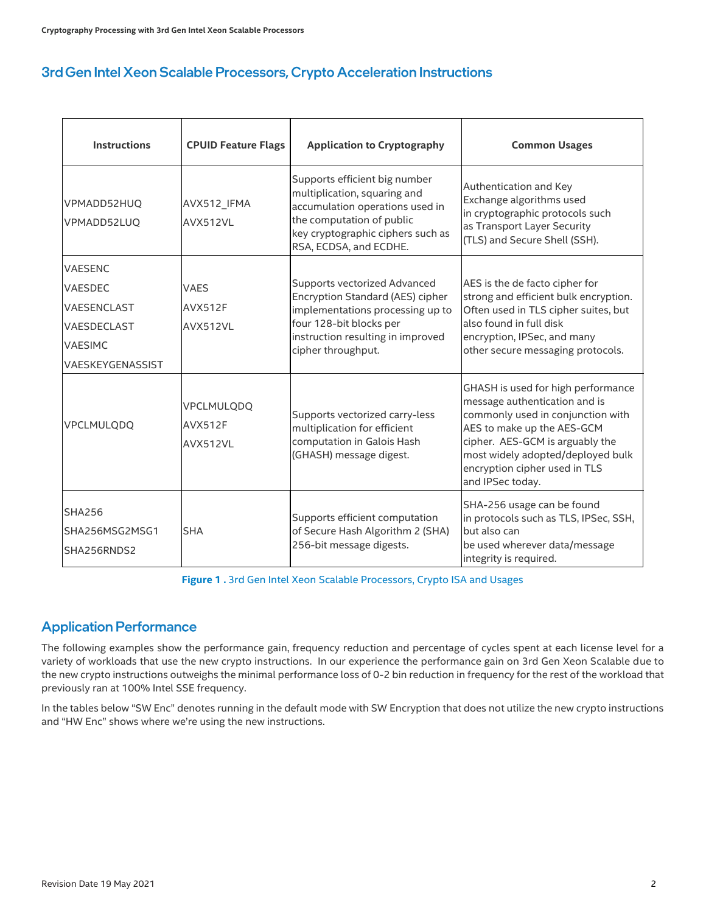## 3rd Gen Intel Xeon Scalable Processors, Crypto Acceleration Instructions

| <b>Instructions</b>                            | <b>CPUID Feature Flags</b>               | <b>Application to Cryptography</b>                                                                                                                                                           | <b>Common Usages</b>                                                                                                                                                                                                                                                |  |
|------------------------------------------------|------------------------------------------|----------------------------------------------------------------------------------------------------------------------------------------------------------------------------------------------|---------------------------------------------------------------------------------------------------------------------------------------------------------------------------------------------------------------------------------------------------------------------|--|
| VPMADD52HUQ<br>VPMADD52LUQ                     | AVX512 IFMA<br>AVX512VL                  | Supports efficient big number<br>multiplication, squaring and<br>accumulation operations used in<br>the computation of public<br>key cryptographic ciphers such as<br>RSA, ECDSA, and ECDHE. | Authentication and Key<br>Exchange algorithms used<br>in cryptographic protocols such<br>as Transport Layer Security<br>(TLS) and Secure Shell (SSH).                                                                                                               |  |
| <b>VAESENC</b>                                 |                                          |                                                                                                                                                                                              |                                                                                                                                                                                                                                                                     |  |
| <b>VAESDEC</b>                                 | <b>VAES</b>                              | Supports vectorized Advanced<br>Encryption Standard (AES) cipher                                                                                                                             | AES is the de facto cipher for<br>strong and efficient bulk encryption.                                                                                                                                                                                             |  |
| VAESENCLAST                                    | AVX512F                                  | implementations processing up to                                                                                                                                                             | Often used in TLS cipher suites, but                                                                                                                                                                                                                                |  |
| VAESDECLAST                                    | AVX512VL                                 | four 128-bit blocks per<br>instruction resulting in improved                                                                                                                                 | also found in full disk                                                                                                                                                                                                                                             |  |
| <b>VAESIMC</b>                                 |                                          | cipher throughput.                                                                                                                                                                           | encryption, IPSec, and many<br>other secure messaging protocols.                                                                                                                                                                                                    |  |
| VAESKEYGENASSIST                               |                                          |                                                                                                                                                                                              |                                                                                                                                                                                                                                                                     |  |
| VPCLMULQDQ                                     | VPCLMULQDQ<br><b>AVX512F</b><br>AVX512VL | Supports vectorized carry-less<br>multiplication for efficient<br>computation in Galois Hash<br>(GHASH) message digest.                                                                      | GHASH is used for high performance<br>message authentication and is<br>commonly used in conjunction with<br>AES to make up the AES-GCM<br>cipher. AES-GCM is arguably the<br>most widely adopted/deployed bulk<br>encryption cipher used in TLS<br>and IPSec today. |  |
| <b>SHA256</b><br>SHA256MSG2MSG1<br>SHA256RNDS2 | <b>SHA</b>                               | Supports efficient computation<br>of Secure Hash Algorithm 2 (SHA)<br>256-bit message digests.                                                                                               | SHA-256 usage can be found<br>in protocols such as TLS, IPSec, SSH,<br>but also can<br>be used wherever data/message<br>integrity is required.                                                                                                                      |  |

**Figure 1 .** 3rd Gen Intel Xeon Scalable Processors, Crypto ISA and Usages

## **Application Performance**

The following examples show the performance gain, frequency reduction and percentage of cycles spent at each license level for a variety of workloads that use the new crypto instructions. In our experience the performance gain on 3rd Gen Xeon Scalable due to the new crypto instructions outweighs the minimal performance loss of 0-2 bin reduction in frequency for the rest of the workload that previously ran at 100% Intel SSE frequency.

In the tables below "SW Enc" denotes running in the default mode with SW Encryption that does not utilize the new crypto instructions and "HW Enc" shows where we're using the new instructions.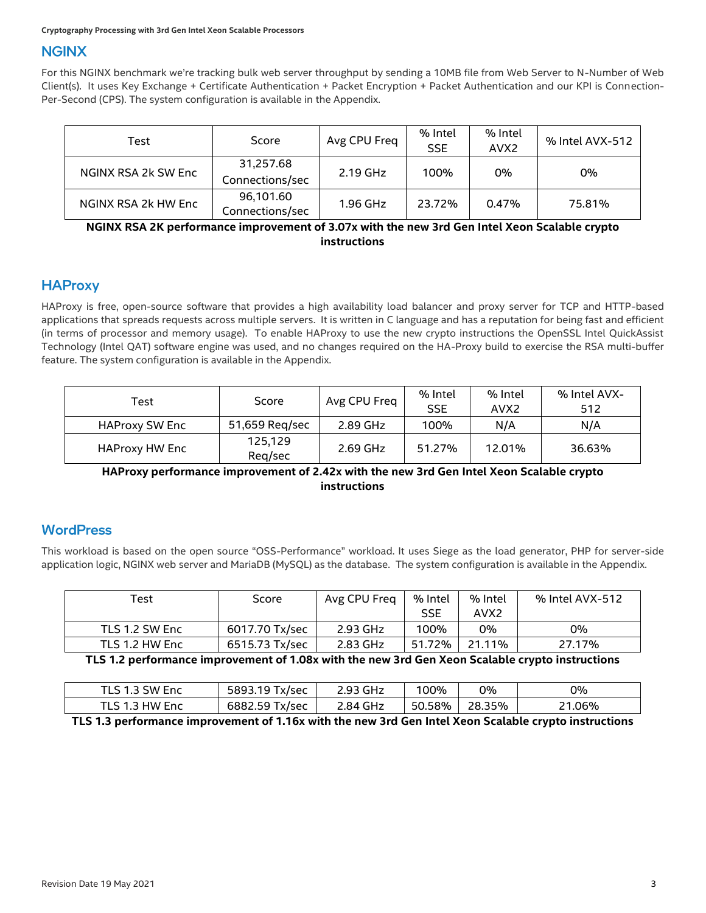#### **NGINX**

For this NGINX benchmark we're tracking bulk web server throughput by sending a 10MB file from Web Server to N-Number of Web Client(s). It uses Key Exchange + Certificate Authentication + Packet Encryption + Packet Authentication and our KPI is Connection-Per-Second (CPS). The system configuration is available in the Appendix.

| Test                | Score                        | Avg CPU Freq | % Intel<br><b>SSE</b> | % Intel<br>AVX <sub>2</sub> | % Intel AVX-512 |
|---------------------|------------------------------|--------------|-----------------------|-----------------------------|-----------------|
| NGINX RSA 2k SW Enc | 31,257.68<br>Connections/sec | $2.19$ GHz   | 100%                  | 0%                          | 0%              |
| NGINX RSA 2k HW Enc | 96,101.60<br>Connections/sec | 1.96 GHz     | 23.72%                | 0.47%                       | 75.81%          |

#### **NGINX RSA 2K performance improvement of 3.07x with the new 3rd Gen Intel Xeon Scalable crypto instructions**

## **HAProxy**

HAProxy is free, open-source software that provides a high availability load balancer and proxy server for TCP and HTTP-based applications that spreads requests across multiple servers. It is written in C language and has a reputation for being fast and efficient (in terms of processor and memory usage). To enable HAProxy to use the new crypto instructions the OpenSSL Intel QuickAssist Technology (Intel QAT) software engine was used, and no changes required on the HA-Proxy build to exercise the RSA multi-buffer feature. The system configuration is available in the Appendix.

| Test                  | Score              | Avg CPU Freq | % Intel<br><b>SSE</b> | % Intel<br>AVX <sub>2</sub> | % Intel AVX-<br>512 |
|-----------------------|--------------------|--------------|-----------------------|-----------------------------|---------------------|
| <b>HAProxy SW Enc</b> | 51,659 Reg/sec     | 2.89 GHz     | 100%                  | N/A                         | N/A                 |
| <b>HAProxy HW Enc</b> | 125,129<br>Reg/sec | 2.69 GHz     | 51.27%                | 12.01%                      | 36.63%              |

**HAProxy performance improvement of 2.42x with the new 3rd Gen Intel Xeon Scalable crypto instructions**

#### **WordPress**

This workload is based on the open source "OSS-Performance" workload. It uses Siege as the load generator, PHP for server-side application logic, NGINX web server and MariaDB (MySQL) as the database. The system configuration is available in the Appendix.

| $\tau_{\mathsf{est}}$ | Score          | Avg CPU Freq | % Intel    | % Intel          | % Intel AVX-512 |
|-----------------------|----------------|--------------|------------|------------------|-----------------|
|                       |                |              | <b>SSE</b> | AVX <sub>2</sub> |                 |
| TLS 1.2 SW Enc        | 6017.70 Tx/sec | 2.93 GHz     | 100%       | 0%               | 0%              |
| TLS 1.2 HW Enc        | 6515.73 Tx/sec | 2.83 GHz     | 51.72%     | 21.11%           | 27.17%          |

**TLS 1.2 performance improvement of 1.08x with the new 3rd Gen Xeon Scalable crypto instructions**

| TLS 1.3 SW Enc | 5893.19 Tx/sec | 2.93 GHz | 100%   | 0%     | 0%     |
|----------------|----------------|----------|--------|--------|--------|
| TLS 1.3 HW Enc | 6882.59 Tx/sec | 2.84 GHz | 50.58% | 28.35% | 21.06% |

**TLS 1.3 performance improvement of 1.16x with the new 3rd Gen Intel Xeon Scalable crypto instructions**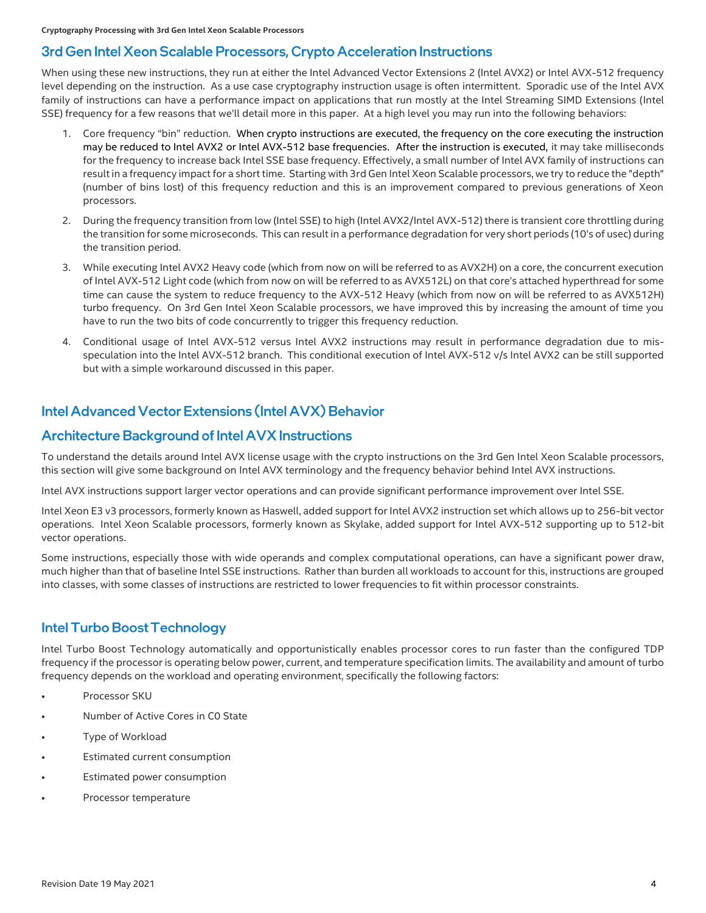#### 3rd Gen Intel Xeon Scalable Processors, Crypto Acceleration Instructions

When using these new instructions, they run at either the Intel Advanced Vector Extensions 2 (Intel AVX2) or Intel AVX-512 frequency level depending on the instruction. As a use case cryptography instruction usage is often intermittent. Sporadic use of the Intel AVX family of instructions can have a performance impact on applications that run mostly at the Intel Streaming SIMD Extensions (Intel SSE) frequency for a few reasons that we'll detail more in this paper. At a high level you may run into the following behaviors:

- 1. Core frequency "bin" reduction. When crypto instructions are executed, the frequency on the core executing the instruction may be reduced to Intel AVX2 or Intel AVX-512 base frequencies. After the instruction is executed, it may take milliseconds for the frequency to increase back Intel SSE base frequency. Effectively, a small number of Intel AVX family of instructions can result in a frequency impact for a short time. Starting with 3rd Gen Intel Xeon Scalable processors, we try to reduce the "depth" (number of bins lost) of this frequency reduction and this is an improvement compared to previous generations of Xeon processors.
- 2. During the frequency transition from low (Intel SSE) to high (Intel AVX2/Intel AVX-512) there is transient core throttling during the transition for some microseconds. This can result in a performance degradation for very short periods (10's of usec) during the transition period.
- 3. While executing Intel AVX2 Heavy code (which from now on will be referred to as AVX2H) on a core, the concurrent execution of Intel AVX-512 Light code (which from now on will be referred to as AVX512L) on that core's attached hyperthread for some time can cause the system to reduce frequency to the AVX-512 Heavy (which from now on will be referred to as AVX512H) turbo frequency. On 3rd Gen Intel Xeon Scalable processors, we have improved this by increasing the amount of time you have to run the two bits of code concurrently to trigger this frequency reduction.
- 4. Conditional usage of Intel AVX-512 versus Intel AVX2 instructions may result in performance degradation due to misspeculation into the Intel AVX-512 branch. This conditional execution of Intel AVX-512 v/s Intel AVX2 can be still supported but with a simple workaround discussed in this paper.

### Intel Advanced Vector Extensions (Intel AVX) Behavior

#### **Architecture Background of Intel AVX Instructions**

To understand the details around Intel AVX license usage with the crypto instructions on the 3rd Gen Intel Xeon Scalable processors, this section will give some background on Intel AVX terminology and the frequency behavior behind Intel AVX instructions.

Intel AVX instructions support larger vector operations and can provide significant performance improvement over Intel SSE.

Intel Xeon E3 v3 processors, formerly known as Haswell, added support for Intel AVX2 instruction set which allows up to 256-bit vector operations. Intel Xeon Scalable processors, formerly known as Skylake, added support for Intel AVX-512 supporting up to 512-bit vector operations.

Some instructions, especially those with wide operands and complex computational operations, can have a significant power draw, much higher than that of baseline Intel SSE instructions. Rather than burden all workloads to account for this, instructions are grouped into classes, with some classes of instructions are restricted to lower frequencies to fit within processor constraints.

#### **Intel Turbo Boost Technology**

Intel Turbo Boost Technology automatically and opportunistically enables processor cores to run faster than the configured TDP frequency if the processor is operating below power, current, and temperature specification limits. The availability and amount of turbo frequency depends on the workload and operating environment, specifically the following factors:

- Processor SKU
- Number of Active Cores in C0 State
- Type of Workload
- Estimated current consumption
- Estimated power consumption
- Processor temperature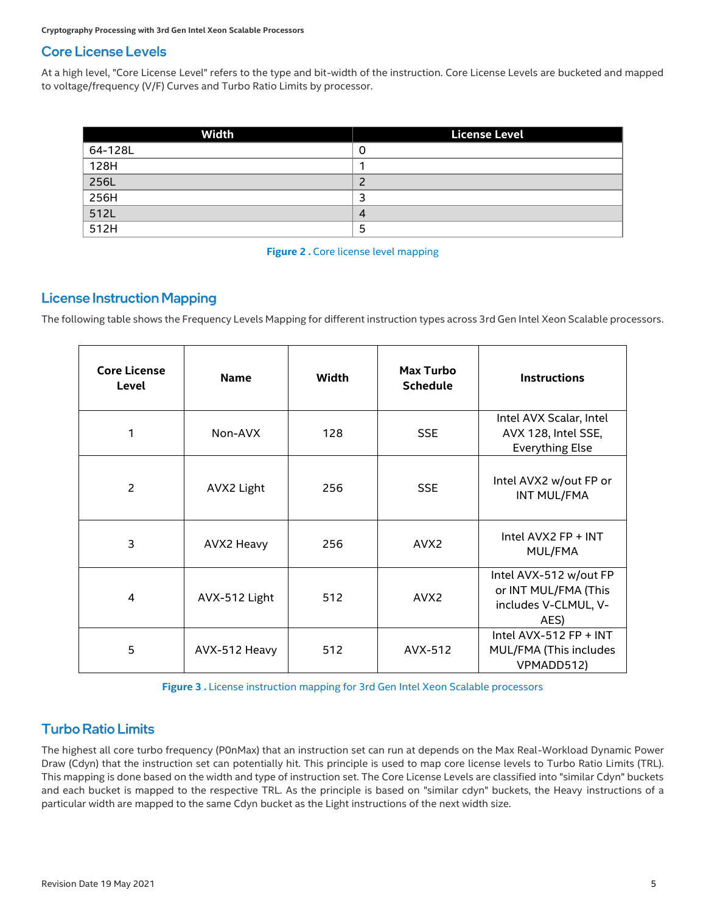## **Core License Levels**

At a high level, "Core License Level" refers to the type and bit-width of the instruction. Core License Levels are bucketed and mapped to voltage/frequency (V/F) Curves and Turbo Ratio Limits by processor.

| Width             | <b>License Level</b> |
|-------------------|----------------------|
| 64-128L           |                      |
| 128H              |                      |
| 256L              |                      |
| 256H              |                      |
| $\overline{512L}$ |                      |
| 512H              |                      |

#### **Figure 2. Core license level mapping**

#### **License Instruction Mapping**

The following table shows the Frequency Levels Mapping for different instruction types across 3rd Gen Intel Xeon Scalable processors.

| <b>Core License</b><br>Level | <b>Name</b>   | Width | <b>Max Turbo</b><br><b>Schedule</b> | <b>Instructions</b>                                                            |
|------------------------------|---------------|-------|-------------------------------------|--------------------------------------------------------------------------------|
| 1                            | Non-AVX       | 128   | <b>SSE</b>                          | Intel AVX Scalar, Intel<br>AVX 128, Intel SSE,<br><b>Everything Else</b>       |
| $\overline{2}$               | AVX2 Light    | 256   | <b>SSE</b>                          | Intel AVX2 w/out FP or<br>INT MUL/FMA                                          |
| 3                            | AVX2 Heavy    | 256   | AVX <sub>2</sub>                    | Intel AVX2 FP + INT<br>MUL/FMA                                                 |
| 4                            | AVX-512 Light | 512   | AVX <sub>2</sub>                    | Intel AVX-512 w/out FP<br>or INT MUL/FMA (This<br>includes V-CLMUL, V-<br>AES) |
| 5                            | AVX-512 Heavy | 512   | AVX-512                             | Intel AVX-512 $FP + INT$<br>MUL/FMA (This includes<br>VPMADD512)               |

**Figure 3 .** License instruction mapping for 3rd Gen Intel Xeon Scalable processors

## **Turbo Ratio Limits**

The highest all core turbo frequency (P0nMax) that an instruction set can run at depends on the Max Real-Workload Dynamic Power Draw (Cdyn) that the instruction set can potentially hit. This principle is used to map core license levels to Turbo Ratio Limits (TRL). This mapping is done based on the width and type of instruction set. The Core License Levels are classified into "similar Cdyn" buckets and each bucket is mapped to the respective TRL. As the principle is based on "similar cdyn" buckets, the Heavy instructions of a particular width are mapped to the same Cdyn bucket as the Light instructions of the next width size.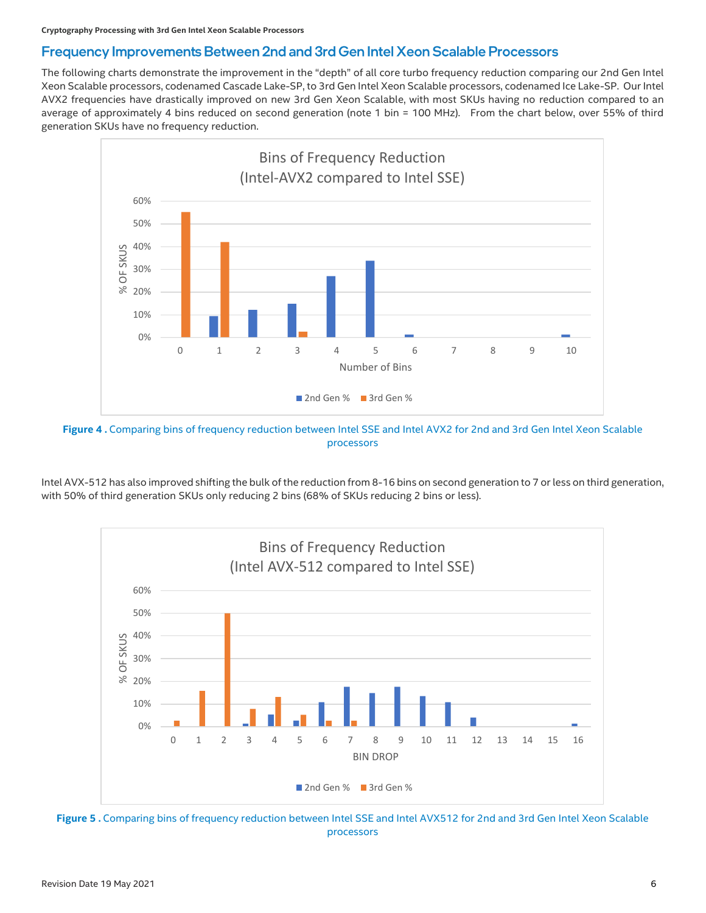#### Frequency Improvements Between 2nd and 3rd Gen Intel Xeon Scalable Processors

The following charts demonstrate the improvement in the "depth" of all core turbo frequency reduction comparing our 2nd Gen Intel Xeon Scalable processors, codenamed Cascade Lake-SP, to 3rd Gen Intel Xeon Scalable processors, codenamed Ice Lake-SP. Our Intel AVX2 frequencies have drastically improved on new 3rd Gen Xeon Scalable, with most SKUs having no reduction compared to an average of approximately 4 bins reduced on second generation (note 1 bin = 100 MHz). From the chart below, over 55% of third generation SKUs have no frequency reduction.



Figure 4. Comparing bins of frequency reduction between Intel SSE and Intel AVX2 for 2nd and 3rd Gen Intel Xeon Scalable processors

Intel AVX-512 has also improved shifting the bulk of the reduction from 8-16 bins on second generation to 7 or less on third generation, with 50% of third generation SKUs only reducing 2 bins (68% of SKUs reducing 2 bins or less).



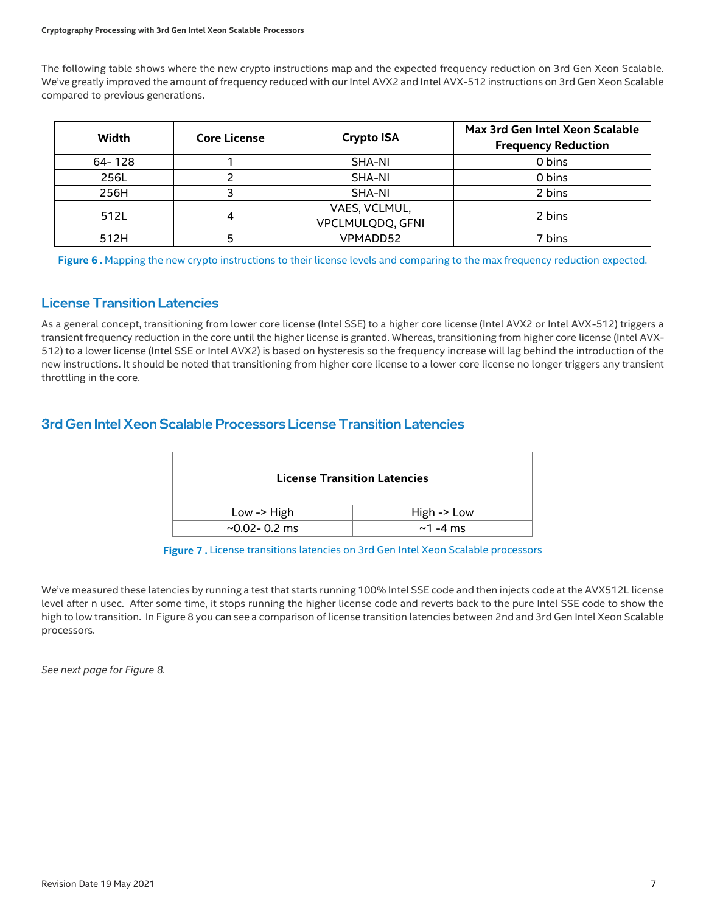#### **Cryptography Processing with 3rd Gen Intel Xeon Scalable Processors**

The following table shows where the new crypto instructions map and the expected frequency reduction on 3rd Gen Xeon Scalable. We've greatly improved the amount of frequency reduced with our Intel AVX2 and Intel AVX-512 instructions on 3rd Gen Xeon Scalable compared to previous generations.

| Width  | <b>Core License</b> | <b>Crypto ISA</b> | Max 3rd Gen Intel Xeon Scalable<br><b>Frequency Reduction</b> |
|--------|---------------------|-------------------|---------------------------------------------------------------|
| 64-128 |                     | SHA-NI            | 0 bins                                                        |
| 256L   |                     | SHA-NI            | 0 bins                                                        |
| 256H   |                     | SHA-NI            | 2 bins                                                        |
| 512L   | 4                   | VAES, VCLMUL,     | 2 bins                                                        |
|        |                     | VPCLMULQDQ, GFNI  |                                                               |
| 512H   |                     | VPMADD52          | 7 bins                                                        |

Figure 6. Mapping the new crypto instructions to their license levels and comparing to the max frequency reduction expected.

#### **License Transition Latencies**

As a general concept, transitioning from lower core license (Intel SSE) to a higher core license (Intel AVX2 or Intel AVX-512) triggers a transient frequency reduction in the core until the higher license is granted. Whereas, transitioning from higher core license (Intel AVX-512) to a lower license (Intel SSE or Intel AVX2) is based on hysteresis so the frequency increase will lag behind the introduction of the new instructions. It should be noted that transitioning from higher core license to a lower core license no longer triggers any transient throttling in the core.

#### 3rd Gen Intel Xeon Scalable Processors License Transition Latencies

|                      | <b>License Transition Latencies</b> |
|----------------------|-------------------------------------|
| Low -> $High$        | High $\rightarrow$ Low              |
| $\sim$ 0.02 - 0.2 ms | $\sim$ 1 -4 ms                      |

**Figure 7 .** License transitions latencies on 3rd Gen Intel Xeon Scalable processors

We've measured these latencies by running a test that starts running 100% Intel SSE code and then injects code at the AVX512L license level after n usec. After some time, it stops running the higher license code and reverts back to the pure Intel SSE code to show the high to low transition. In Figure 8 you can see a comparison of license transition latencies between 2nd and 3rd Gen Intel Xeon Scalable processors.

*See next page for Figure 8.*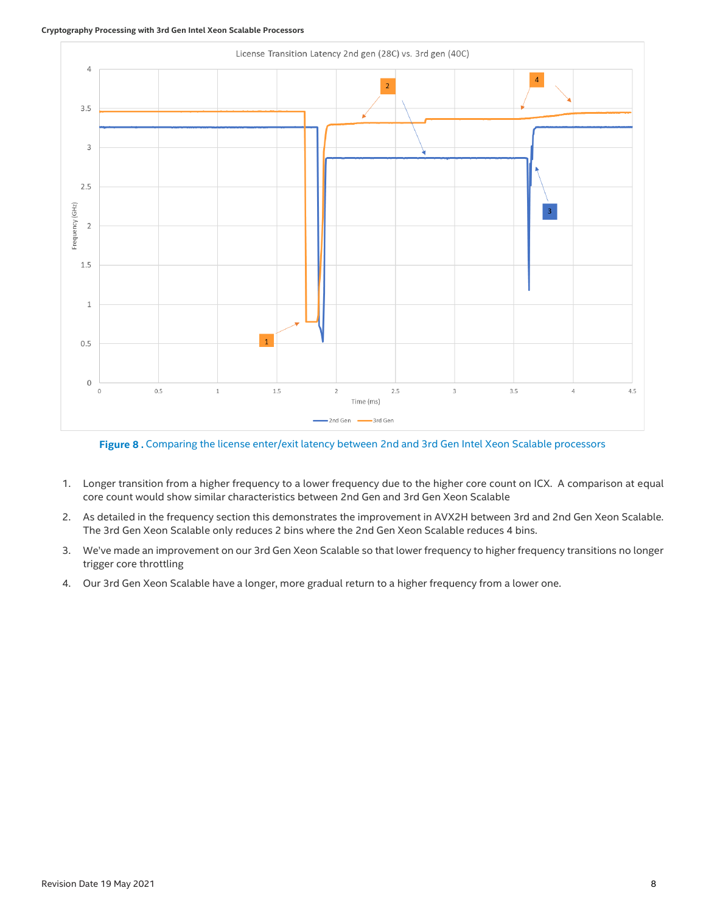#### **Cryptography Processing with 3rd Gen Intel Xeon Scalable Processors**



**Figure 8 .** Comparing the license enter/exit latency between 2nd and 3rd Gen Intel Xeon Scalable processors

- 1. Longer transition from a higher frequency to a lower frequency due to the higher core count on ICX. A comparison at equal core count would show similar characteristics between 2nd Gen and 3rd Gen Xeon Scalable
- 2. As detailed in the frequency section this demonstrates the improvement in AVX2H between 3rd and 2nd Gen Xeon Scalable. The 3rd Gen Xeon Scalable only reduces 2 bins where the 2nd Gen Xeon Scalable reduces 4 bins.
- 3. We've made an improvement on our 3rd Gen Xeon Scalable so that lower frequency to higher frequency transitions no longer trigger core throttling
- 4. Our 3rd Gen Xeon Scalable have a longer, more gradual return to a higher frequency from a lower one.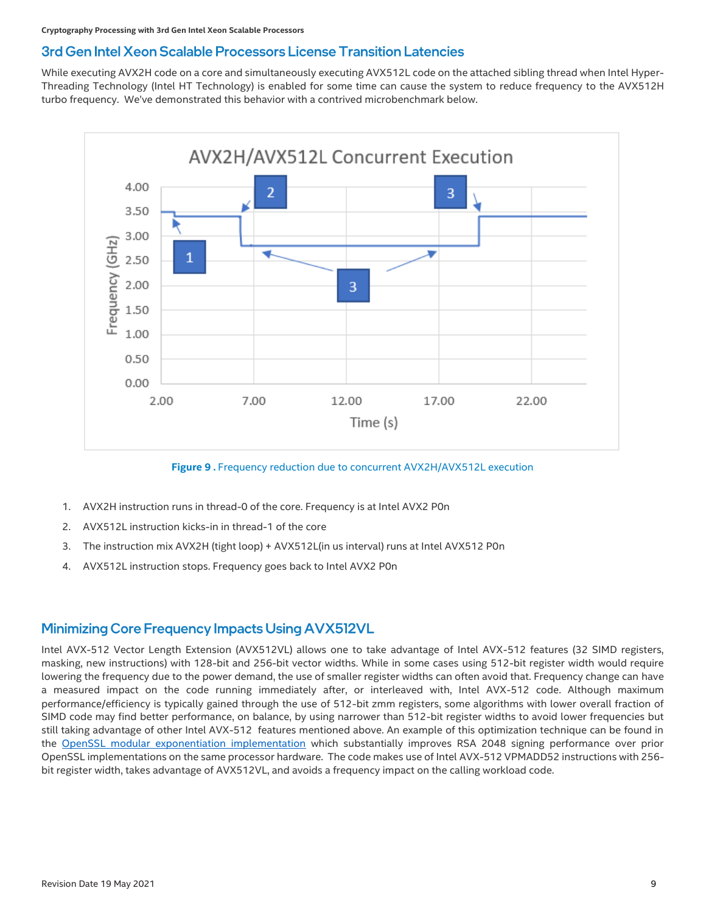#### 3rd Gen Intel Xeon Scalable Processors License Transition Latencies

While executing AVX2H code on a core and simultaneously executing AVX512L code on the attached sibling thread when Intel Hyper-Threading Technology (Intel HT Technology) is enabled for some time can cause the system to reduce frequency to the AVX512H turbo frequency. We've demonstrated this behavior with a contrived microbenchmark below.



**Figure 9 .** Frequency reduction due to concurrent AVX2H/AVX512L execution

- 1. AVX2H instruction runs in thread-0 of the core. Frequency is at Intel AVX2 P0n
- 2. AVX512L instruction kicks-in in thread-1 of the core
- 3. The instruction mix AVX2H (tight loop) + AVX512L(in us interval) runs at Intel AVX512 P0n
- 4. AVX512L instruction stops. Frequency goes back to Intel AVX2 P0n

#### Minimizing Core Frequency Impacts Using AVX512VL

Intel AVX-512 Vector Length Extension (AVX512VL) allows one to take advantage of Intel AVX-512 features (32 SIMD registers, masking, new instructions) with 128-bit and 256-bit vector widths. While in some cases using 512-bit register width would require lowering the frequency due to the power demand, the use of smaller register widths can often avoid that. Frequency change can have a measured impact on the code running immediately after, or interleaved with, Intel AVX-512 code. Although maximum performance/efficiency is typically gained through the use of 512-bit zmm registers, some algorithms with lower overall fraction of SIMD code may find better performance, on balance, by using narrower than 512-bit register widths to avoid lower frequencies but still taking advantage of other Intel AVX-512 features mentioned above. An example of this optimization technique can be found in the [OpenSSL modular exponentiation implementation](https://github.com/openssl/openssl/blob/master/crypto/bn/asm/rsaz-avx512.pl) which substantially improves RSA 2048 signing performance over prior OpenSSL implementations on the same processor hardware. The code makes use of Intel AVX-512 VPMADD52 instructions with 256 bit register width, takes advantage of AVX512VL, and avoids a frequency impact on the calling workload code.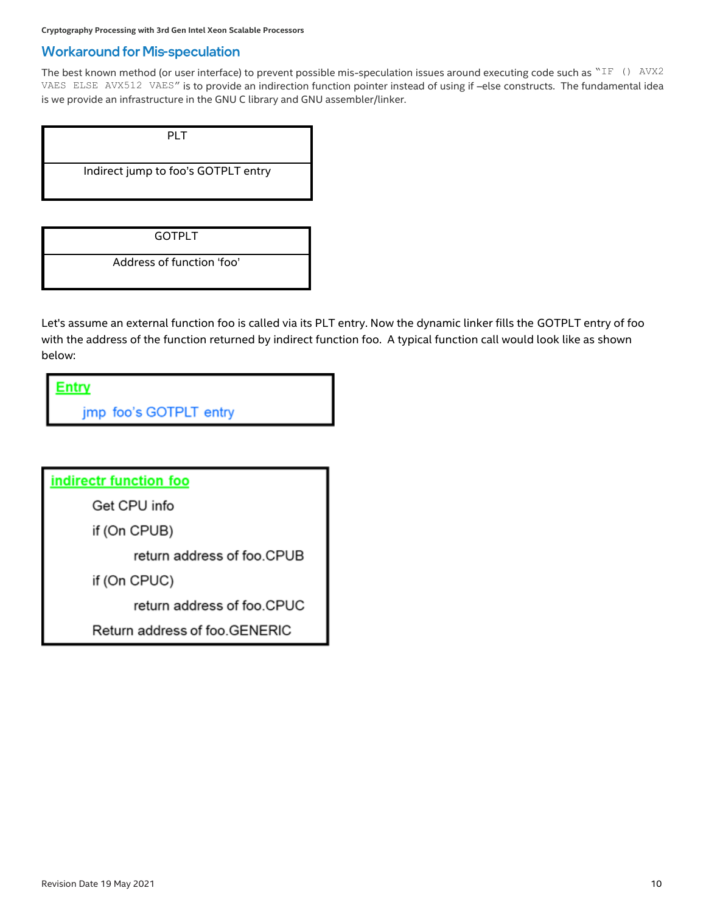#### **Workaround for Mis-speculation**

The best known method (or user interface) to prevent possible mis-speculation issues around executing code such as "IF () AVX2 VAES ELSE AVX512 VAES" is to provide an indirection function pointer instead of using if –else constructs. The fundamental idea is we provide an infrastructure in the GNU C library and GNU assembler/linker.

| PI T                                |  |
|-------------------------------------|--|
| Indirect jump to foo's GOTPLT entry |  |
|                                     |  |

GOTPLT

Address of function 'foo'

Let's assume an external function foo is called via its PLT entry. Now the dynamic linker fills the GOTPLT entry of foo with the address of the function returned by indirect function foo. A typical function call would look like as shown below:

**Entry** 

jmp foo's GOTPLT entry

indirectr function foo

Get CPU info

if (On CPUB)

return address of foo.CPUB

if (On CPUC)

return address of foo.CPUC

Return address of foo.GENERIC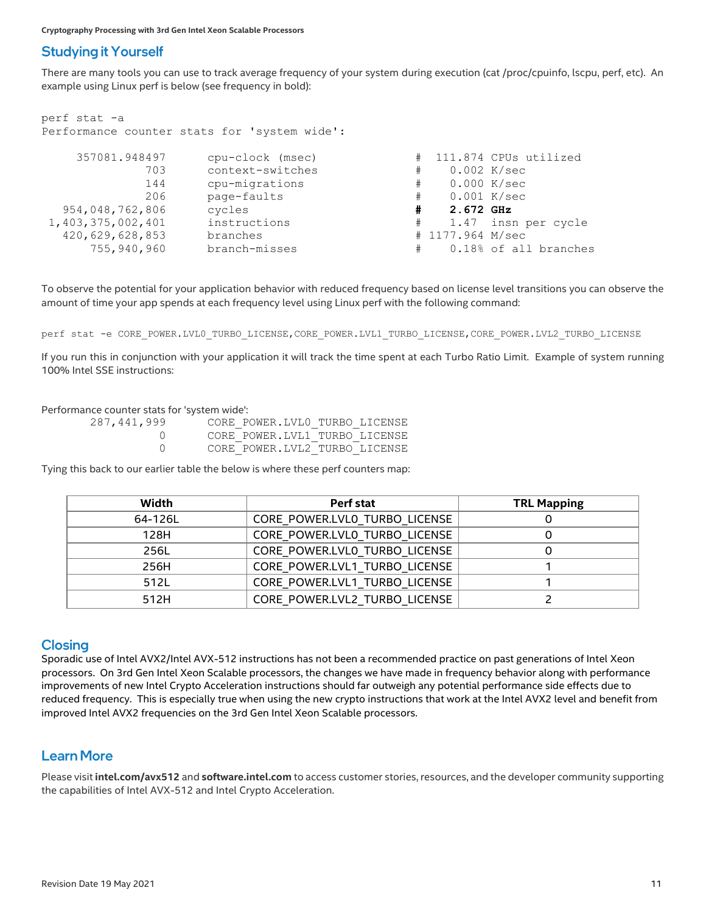### **Studying it Yourself**

There are many tools you can use to track average frequency of your system during execution (cat /proc/cpuinfo, lscpu, perf, etc). An example using Linux perf is below (see frequency in bold):

| perf stat -a      |                                              |   |                  |                       |
|-------------------|----------------------------------------------|---|------------------|-----------------------|
|                   | Performance counter stats for 'system wide': |   |                  |                       |
|                   |                                              |   |                  |                       |
| 357081.948497     | cpu-clock (msec)                             | # |                  | 111.874 CPUs utilized |
| 703               | context-switches                             | # |                  | 0.002 K/sec           |
| 144               | cpu-migrations                               | # |                  | 0.000 K/sec           |
| 206               | page-faults                                  | # | $0.001$ K/sec    |                       |
| 954,048,762,806   | cycles                                       | # | 2.672 GHz        |                       |
| 1,403,375,002,401 | instructions                                 | # |                  | 1.47 insn per cycle   |
| 420,629,628,853   | branches                                     |   | # 1177.964 M/sec |                       |
| 755,940,960       | branch-misses                                | # |                  | 0.18% of all branches |

To observe the potential for your application behavior with reduced frequency based on license level transitions you can observe the amount of time your app spends at each frequency level using Linux perf with the following command:

perf stat -e CORE POWER.LVL0\_TURBO\_LICENSE,CORE\_POWER.LVL1\_TURBO\_LICENSE,CORE\_POWER.LVL2\_TURBO\_LICENSE

If you run this in conjunction with your application it will track the time spent at each Turbo Ratio Limit. Example of system running 100% Intel SSE instructions:

Performance counter stats for 'system wide':

| 287,441,999 | CORE POWER.LVLO TURBO LICENSE |  |
|-------------|-------------------------------|--|
|             | CORE POWER.LVL1 TURBO LICENSE |  |
|             | CORE POWER.LVL2 TURBO LICENSE |  |

Tying this back to our earlier table the below is where these perf counters map:

| Width   | Perf stat                     | <b>TRL Mapping</b> |
|---------|-------------------------------|--------------------|
| 64-126L | CORE POWER.LVLO TURBO LICENSE |                    |
| 128H    | CORE POWER.LVLO TURBO LICENSE |                    |
| 256L    | CORE POWER.LVLO TURBO LICENSE |                    |
| 256H    | CORE POWER.LVL1 TURBO LICENSE |                    |
| 512L    | CORE POWER.LVL1 TURBO LICENSE |                    |
| 512H    | CORE POWER.LVL2 TURBO LICENSE |                    |

#### **Closing**

Sporadic use of Intel AVX2/Intel AVX-512 instructions has not been a recommended practice on past generations of Intel Xeon processors. On 3rd Gen Intel Xeon Scalable processors, the changes we have made in frequency behavior along with performance improvements of new Intel Crypto Acceleration instructions should far outweigh any potential performance side effects due to reduced frequency. This is especially true when using the new crypto instructions that work at the Intel AVX2 level and benefit from improved Intel AVX2 frequencies on the 3rd Gen Intel Xeon Scalable processors.

#### **Learn More**

Please visit **intel.com/avx512** and **software.intel.com** to access customer stories, resources, and the developer community supporting the capabilities of Intel AVX-512 and Intel Crypto Acceleration.